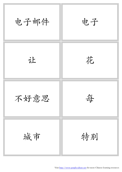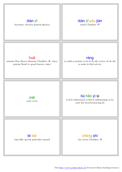#### [diàn](http://www.purpleculture.net/mp3/dian4.mp3) [zǐ](http://www.purpleculture.net/mp3/zi3.mp3) electronic; electron (particle physics)

# [diàn](http://www.purpleculture.net/mp3/dian4.mp3) [zǐ](http://www.purpleculture.net/mp3/zi3.mp3) [yóu](http://www.purpleculture.net/mp3/you2.mp3) [jiàn](http://www.purpleculture.net/mp3/jian4.mp3)

email; Classifiers: 封

#### [huā](http://www.purpleculture.net/mp3/hua1.mp3)

surname Hua; flower; blossom; Classifiers: 朵 ; fancy pattern; florid; to spend (money, time)

### [ràng](http://www.purpleculture.net/mp3/rang4.mp3)

to yield; to permit; to let sb do sth; to have sb do sth; to make sb (feel sad etc)

[měi](http://www.purpleculture.net/mp3/mei3.mp3) each; every

## [bù](http://www.purpleculture.net/mp3/bu4.mp3) [hǎo](http://www.purpleculture.net/mp3/hao3.mp3) [yì](http://www.purpleculture.net/mp3/yi4.mp3) [si](http://www.purpleculture.net/mp3/si5.mp3)

to feel embarrassed; to find it embarrassing; to be sorry (for inconveniencing sb)

[tè](http://www.purpleculture.net/mp3/te4.mp3) [bié](http://www.purpleculture.net/mp3/bie2.mp3)

especially; special; particular; unusual

[chéng](http://www.purpleculture.net/mp3/cheng2.mp3) [shì](http://www.purpleculture.net/mp3/shi4.mp3)

city; town; Classifiers: 座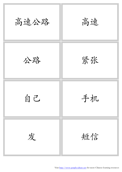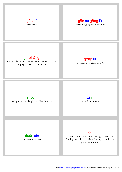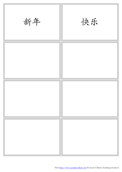| 新年 | 快乐 |
|----|----|
|    |    |
|    |    |
|    |    |